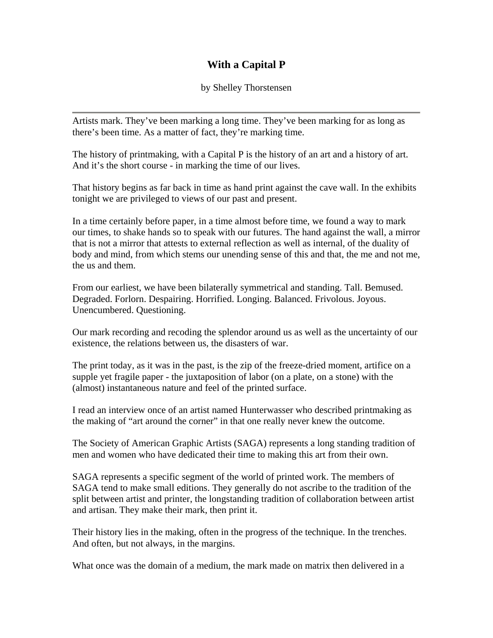## **With a Capital P**

by Shelley Thorstensen

Artists mark. They've been marking a long time. They've been marking for as long as there's been time. As a matter of fact, they're marking time.

The history of printmaking, with a Capital P is the history of an art and a history of art. And it's the short course - in marking the time of our lives.

That history begins as far back in time as hand print against the cave wall. In the exhibits tonight we are privileged to views of our past and present.

In a time certainly before paper, in a time almost before time, we found a way to mark our times, to shake hands so to speak with our futures. The hand against the wall, a mirror that is not a mirror that attests to external reflection as well as internal, of the duality of body and mind, from which stems our unending sense of this and that, the me and not me, the us and them.

From our earliest, we have been bilaterally symmetrical and standing. Tall. Bemused. Degraded. Forlorn. Despairing. Horrified. Longing. Balanced. Frivolous. Joyous. Unencumbered. Questioning.

Our mark recording and recoding the splendor around us as well as the uncertainty of our existence, the relations between us, the disasters of war.

The print today, as it was in the past, is the zip of the freeze-dried moment, artifice on a supple yet fragile paper - the juxtaposition of labor (on a plate, on a stone) with the (almost) instantaneous nature and feel of the printed surface.

I read an interview once of an artist named Hunterwasser who described printmaking as the making of "art around the corner" in that one really never knew the outcome.

The Society of American Graphic Artists (SAGA) represents a long standing tradition of men and women who have dedicated their time to making this art from their own.

SAGA represents a specific segment of the world of printed work. The members of SAGA tend to make small editions. They generally do not ascribe to the tradition of the split between artist and printer, the longstanding tradition of collaboration between artist and artisan. They make their mark, then print it.

Their history lies in the making, often in the progress of the technique. In the trenches. And often, but not always, in the margins.

What once was the domain of a medium, the mark made on matrix then delivered in a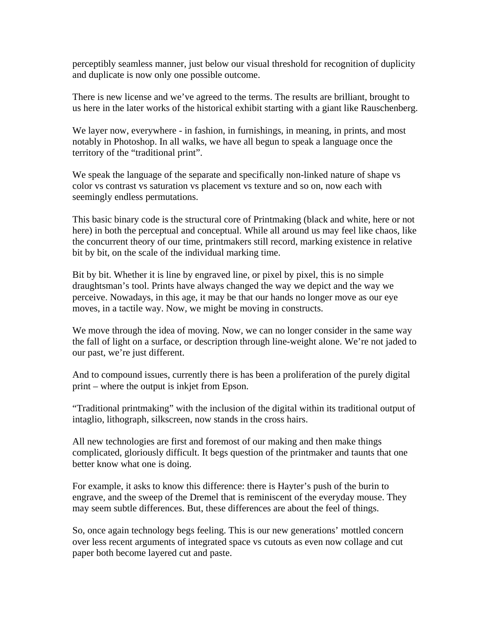perceptibly seamless manner, just below our visual threshold for recognition of duplicity and duplicate is now only one possible outcome.

There is new license and we've agreed to the terms. The results are brilliant, brought to us here in the later works of the historical exhibit starting with a giant like Rauschenberg.

We layer now, everywhere - in fashion, in furnishings, in meaning, in prints, and most notably in Photoshop. In all walks, we have all begun to speak a language once the territory of the "traditional print".

We speak the language of the separate and specifically non-linked nature of shape vs color vs contrast vs saturation vs placement vs texture and so on, now each with seemingly endless permutations.

This basic binary code is the structural core of Printmaking (black and white, here or not here) in both the perceptual and conceptual. While all around us may feel like chaos, like the concurrent theory of our time, printmakers still record, marking existence in relative bit by bit, on the scale of the individual marking time.

Bit by bit. Whether it is line by engraved line, or pixel by pixel, this is no simple draughtsman's tool. Prints have always changed the way we depict and the way we perceive. Nowadays, in this age, it may be that our hands no longer move as our eye moves, in a tactile way. Now, we might be moving in constructs.

We move through the idea of moving. Now, we can no longer consider in the same way the fall of light on a surface, or description through line-weight alone. We're not jaded to our past, we're just different.

And to compound issues, currently there is has been a proliferation of the purely digital print – where the output is inkjet from Epson.

"Traditional printmaking" with the inclusion of the digital within its traditional output of intaglio, lithograph, silkscreen, now stands in the cross hairs.

All new technologies are first and foremost of our making and then make things complicated, gloriously difficult. It begs question of the printmaker and taunts that one better know what one is doing.

For example, it asks to know this difference: there is Hayter's push of the burin to engrave, and the sweep of the Dremel that is reminiscent of the everyday mouse. They may seem subtle differences. But, these differences are about the feel of things.

So, once again technology begs feeling. This is our new generations' mottled concern over less recent arguments of integrated space vs cutouts as even now collage and cut paper both become layered cut and paste.